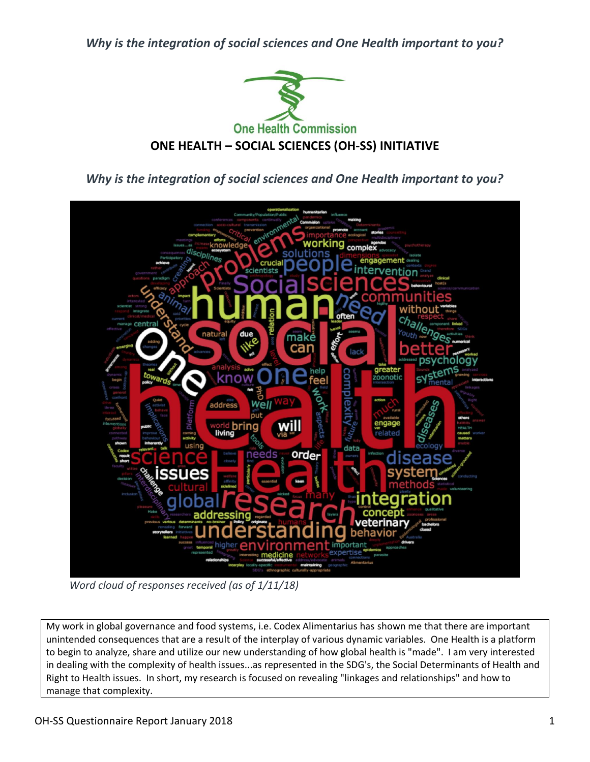*Why is the integration of social sciences and One Health important to you?*



*Why is the integration of social sciences and One Health important to you?*



*Word cloud of responses received (as of 1/11/18)*

My work in global governance and food systems, i.e. Codex Alimentarius has shown me that there are important unintended consequences that are a result of the interplay of various dynamic variables. One Health is a platform to begin to analyze, share and utilize our new understanding of how global health is "made". I am very interested in dealing with the complexity of health issues...as represented in the SDG's, the Social Determinants of Health and Right to Health issues. In short, my research is focused on revealing "linkages and relationships" and how to manage that complexity.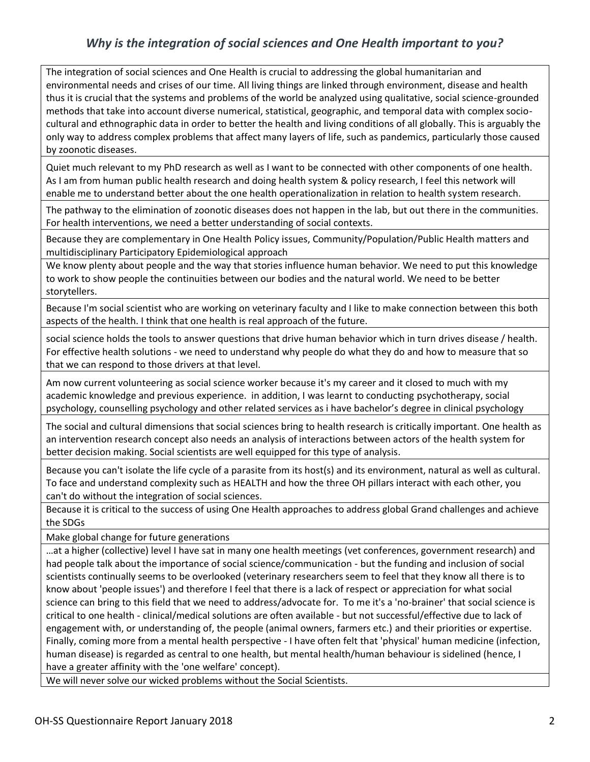## *Why is the integration of social sciences and One Health important to you?*

The integration of social sciences and One Health is crucial to addressing the global humanitarian and environmental needs and crises of our time. All living things are linked through environment, disease and health thus it is crucial that the systems and problems of the world be analyzed using qualitative, social science-grounded methods that take into account diverse numerical, statistical, geographic, and temporal data with complex sociocultural and ethnographic data in order to better the health and living conditions of all globally. This is arguably the only way to address complex problems that affect many layers of life, such as pandemics, particularly those caused by zoonotic diseases.

Quiet much relevant to my PhD research as well as I want to be connected with other components of one health. As I am from human public health research and doing health system & policy research, I feel this network will enable me to understand better about the one health operationalization in relation to health system research.

The pathway to the elimination of zoonotic diseases does not happen in the lab, but out there in the communities. For health interventions, we need a better understanding of social contexts.

Because they are complementary in One Health Policy issues, Community/Population/Public Health matters and multidisciplinary Participatory Epidemiological approach

We know plenty about people and the way that stories influence human behavior. We need to put this knowledge to work to show people the continuities between our bodies and the natural world. We need to be better storytellers.

Because I'm social scientist who are working on veterinary faculty and I like to make connection between this both aspects of the health. I think that one health is real approach of the future.

social science holds the tools to answer questions that drive human behavior which in turn drives disease / health. For effective health solutions - we need to understand why people do what they do and how to measure that so that we can respond to those drivers at that level.

Am now current volunteering as social science worker because it's my career and it closed to much with my academic knowledge and previous experience. in addition, I was learnt to conducting psychotherapy, social psychology, counselling psychology and other related services as i have bachelor's degree in clinical psychology

The social and cultural dimensions that social sciences bring to health research is critically important. One health as an intervention research concept also needs an analysis of interactions between actors of the health system for better decision making. Social scientists are well equipped for this type of analysis.

Because you can't isolate the life cycle of a parasite from its host(s) and its environment, natural as well as cultural. To face and understand complexity such as HEALTH and how the three OH pillars interact with each other, you can't do without the integration of social sciences.

Because it is critical to the success of using One Health approaches to address global Grand challenges and achieve the SDGs

Make global change for future generations

…at a higher (collective) level I have sat in many one health meetings (vet conferences, government research) and had people talk about the importance of social science/communication - but the funding and inclusion of social scientists continually seems to be overlooked (veterinary researchers seem to feel that they know all there is to know about 'people issues') and therefore I feel that there is a lack of respect or appreciation for what social science can bring to this field that we need to address/advocate for. To me it's a 'no-brainer' that social science is critical to one health - clinical/medical solutions are often available - but not successful/effective due to lack of engagement with, or understanding of, the people (animal owners, farmers etc.) and their priorities or expertise. Finally, coming more from a mental health perspective - I have often felt that 'physical' human medicine (infection, human disease) is regarded as central to one health, but mental health/human behaviour is sidelined (hence, I have a greater affinity with the 'one welfare' concept).

We will never solve our wicked problems without the Social Scientists.